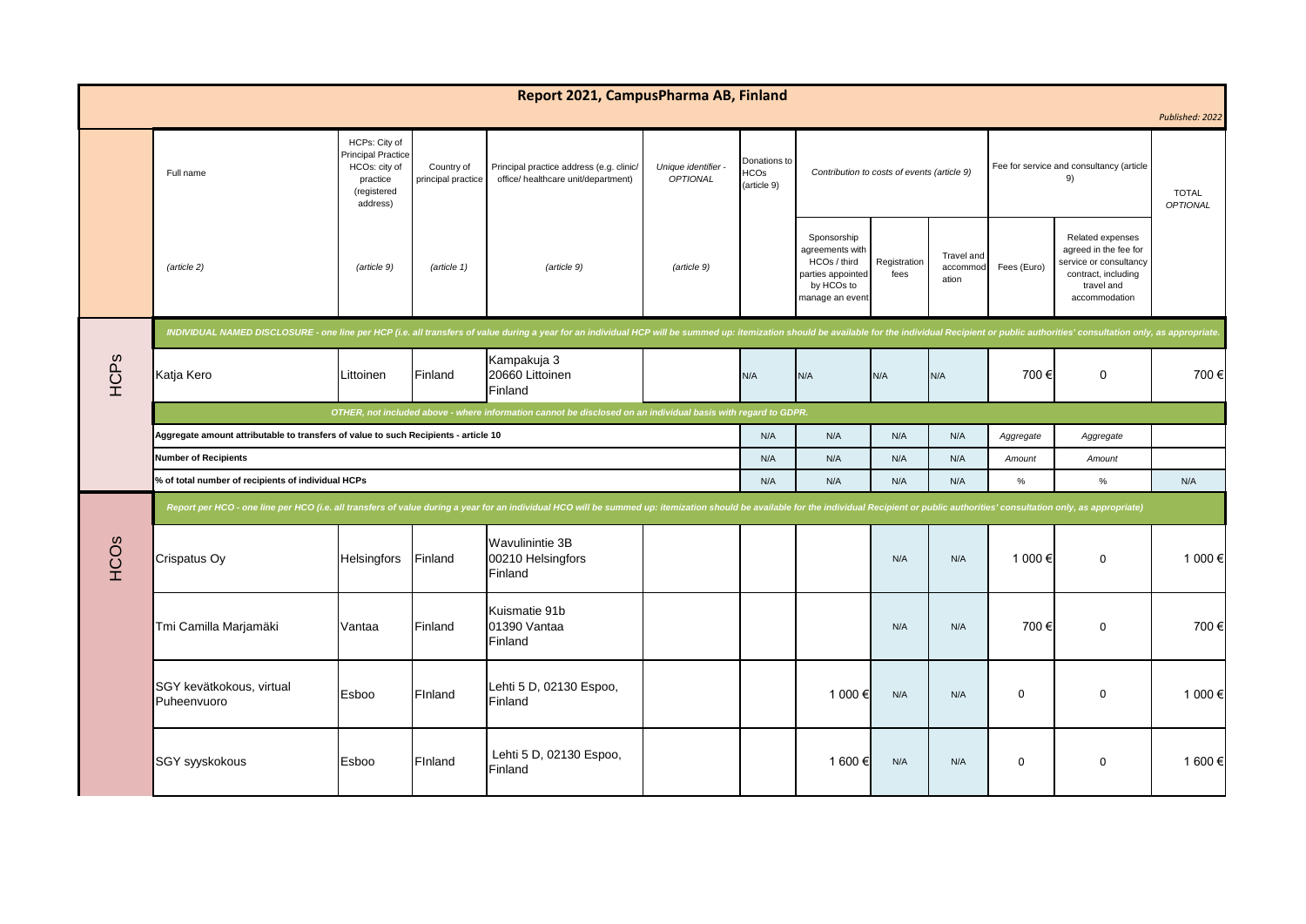| Report 2021, CampusPharma AB, Finland<br>Published: 2022 |                                                                                                                                                                                                                                |                                                                                                                                                                                                                                                                                                                                                           |             |                                                        |             |           |                                                                                                      |                                                |                                 |                          |                                                                                                                           |         |
|----------------------------------------------------------|--------------------------------------------------------------------------------------------------------------------------------------------------------------------------------------------------------------------------------|-----------------------------------------------------------------------------------------------------------------------------------------------------------------------------------------------------------------------------------------------------------------------------------------------------------------------------------------------------------|-------------|--------------------------------------------------------|-------------|-----------|------------------------------------------------------------------------------------------------------|------------------------------------------------|---------------------------------|--------------------------|---------------------------------------------------------------------------------------------------------------------------|---------|
|                                                          | Full name                                                                                                                                                                                                                      | HCPs: City of<br>Principal Practice<br>Donations to<br>HCOs: city of<br>Country of<br>Principal practice address (e.g. clinic/<br>Unique identifier -<br>Contribution to costs of events (article 9)<br><b>HCOs</b><br><b>OPTIONAL</b><br>principal practice<br>office/ healthcare unit/department)<br>practice<br>(article 9)<br>(registered<br>address) |             |                                                        |             |           |                                                                                                      | Fee for service and consultancy (article<br>9) |                                 | <b>TOTAL</b><br>OPTIONAL |                                                                                                                           |         |
|                                                          | (article 2)                                                                                                                                                                                                                    | (article 9)                                                                                                                                                                                                                                                                                                                                               | (article 1) | (article 9)                                            | (article 9) |           | Sponsorship<br>agreements with<br>HCOs / third<br>parties appointed<br>by HCOs to<br>manage an event | Registration<br>fees                           | Travel and<br>accommod<br>ation | Fees (Euro)              | Related expenses<br>agreed in the fee for<br>service or consultancy<br>contract, including<br>travel and<br>accommodation |         |
|                                                          | INDIVIDUAL NAMED DISCLOSURE - one line per HCP (i.e. all transfers of value during a year for an individual HCP will be summed up: itemization should be available for the individual Recipient or public authorities' consult |                                                                                                                                                                                                                                                                                                                                                           |             |                                                        |             |           |                                                                                                      |                                                |                                 |                          |                                                                                                                           |         |
| HCPs                                                     | Katja Kero                                                                                                                                                                                                                     | Littoinen                                                                                                                                                                                                                                                                                                                                                 | Finland     | Kampakuja 3<br>20660 Littoinen<br>Finland              |             | N/A       | N/A                                                                                                  | N/A                                            | N/A                             | 700€                     | $\mathbf 0$                                                                                                               | 700€    |
|                                                          | OTHER, not included above - where information cannot be disclosed on an individual basis with regard to GDPR.                                                                                                                  |                                                                                                                                                                                                                                                                                                                                                           |             |                                                        |             |           |                                                                                                      |                                                |                                 |                          |                                                                                                                           |         |
|                                                          | Aggregate amount attributable to transfers of value to such Recipients - article 10                                                                                                                                            | N/A                                                                                                                                                                                                                                                                                                                                                       | N/A         | N/A                                                    | N/A         | Aggregate | Aggregate                                                                                            |                                                |                                 |                          |                                                                                                                           |         |
|                                                          | <b>Number of Recipients</b>                                                                                                                                                                                                    |                                                                                                                                                                                                                                                                                                                                                           |             |                                                        |             | N/A       | N/A                                                                                                  | N/A                                            | N/A                             | Amount                   | Amount                                                                                                                    |         |
|                                                          | % of total number of recipients of individual HCPs                                                                                                                                                                             |                                                                                                                                                                                                                                                                                                                                                           |             |                                                        |             |           | N/A                                                                                                  | N/A                                            | N/A                             | $\%$                     | $\%$                                                                                                                      | N/A     |
| HCOS                                                     | Report per HCO - one line per HCO (i.e. all transfers of value during a year for an individual HCO will be summed up: itemization should be available for the individual Recipient or public authorities' consultation only, a |                                                                                                                                                                                                                                                                                                                                                           |             |                                                        |             |           |                                                                                                      |                                                |                                 |                          |                                                                                                                           |         |
|                                                          | Crispatus Oy                                                                                                                                                                                                                   | <b>Helsingfors</b>                                                                                                                                                                                                                                                                                                                                        | Finland     | <b>Wavulinintie 3B</b><br>00210 Helsingfors<br>Finland |             |           |                                                                                                      | N/A                                            | N/A                             | 1 000 €                  | $\mathbf 0$                                                                                                               | 1 000 € |
|                                                          | Tmi Camilla Marjamäki                                                                                                                                                                                                          | Vantaa                                                                                                                                                                                                                                                                                                                                                    | Finland     | Kuismatie 91b<br>01390 Vantaa<br>Finland               |             |           |                                                                                                      | N/A                                            | N/A                             | 700€                     | $\mathsf 0$                                                                                                               | 700€    |
|                                                          | SGY kevätkokous, virtual<br>Puheenvuoro                                                                                                                                                                                        | Esboo                                                                                                                                                                                                                                                                                                                                                     | Finland     | Lehti 5 D, 02130 Espoo,<br>Finland                     |             |           | 1 000 €                                                                                              | N/A                                            | N/A                             | $\mathbf 0$              | $\mathbf 0$                                                                                                               | 1 000 € |
|                                                          | SGY syyskokous                                                                                                                                                                                                                 | Esboo                                                                                                                                                                                                                                                                                                                                                     | Finland     | Lehti 5 D, 02130 Espoo,<br>Finland                     |             |           | 1 600 €                                                                                              | N/A                                            | N/A                             | $\mathbf 0$              | $\mathbf 0$                                                                                                               | 1 600 € |